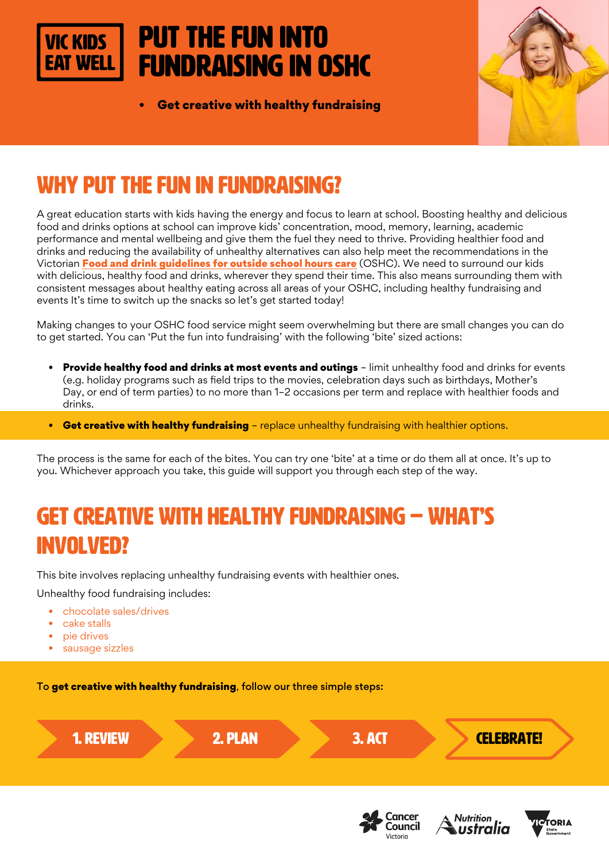# Put the fun into fundraising in OSHC

• Get creative with healthy fundraising



# WHY PUT THE FUN IN FUNDRAISING?

A great education starts with kids having the energy and focus to learn at school. Boosting healthy and delicious food and drinks options at school can improve kids' concentration, mood, memory, learning, academic performance and mental wellbeing and give them the fuel they need to thrive. Providing healthier food and drinks and reducing the availability of unhealthy alternatives can also help meet the recommendations in the Victorian [Food and drink guidelines for outside school hours care](https://heas.health.vic.gov.au/early-childhood-services/menu-planning/OSHC/guidelines) (OSHC). We need to surround our kids with delicious, healthy food and drinks, wherever they spend their time. This also means surrounding them with consistent messages about healthy eating across all areas of your OSHC, including healthy fundraising and events It's time to switch up the snacks so let's get started today!

Making changes to your OSHC food service might seem overwhelming but there are small changes you can do to get started. You can 'Put the fun into fundraising' with the following 'bite' sized actions:

- **Provide healthy food and drinks at most events and outings** limit unhealthy food and drinks for events (e.g. holiday programs such as field trips to the movies, celebration days such as birthdays, Mother's Day, or end of term parties) to no more than 1–2 occasions per term and replace with healthier foods and drinks.
- Get creative with healthy fundraising replace unhealthy fundraising with healthier options.

The process is the same for each of the bites. You can try one 'bite' at a time or do them all at once. It's up to you. Whichever approach you take, this guide will support you through each step of the way.

# GET CREATIVE WITH HEALTHY FUNDRAISING – WHAT'S INVOLVED?

This bite involves replacing unhealthy fundraising events with healthier ones.

Unhealthy food fundraising includes:

- chocolate sales/drives
- cake stalls
- pie drives
- sausage sizzles

To get creative with healthy fundraising, follow our three simple steps:







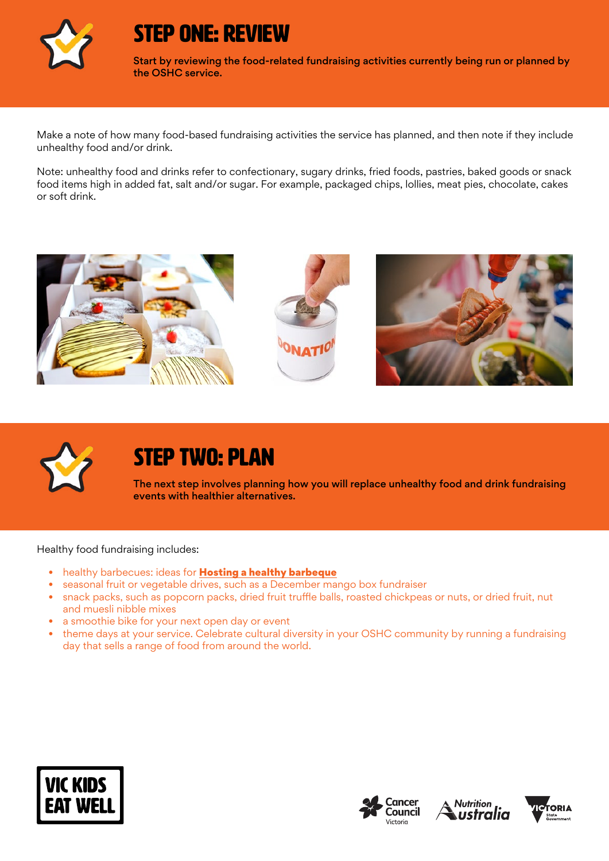

#### STEP ONE: REVIEW

Start by reviewing the food-related fundraising activities currently being run or planned by the OSHC service.

Make a note of how many food-based fundraising activities the service has planned, and then note if they include unhealthy food and/or drink.

Note: unhealthy food and drinks refer to confectionary, sugary drinks, fried foods, pastries, baked goods or snack food items high in added fat, salt and/or sugar. For example, packaged chips, lollies, meat pies, chocolate, cakes or soft drink.





## STEP TWO: PLAN

The next step involves planning how you will replace unhealthy food and drink fundraising events with healthier alternatives.

Healthy food fundraising includes:

- healthy barbecues: ideas for [Hosting a healthy barbeque](http://heas.health.vic.gov.au/healthy-choices/workplaces/barbecues/planning-menu)
- seasonal fruit or vegetable drives, such as a December mango box fundraiser
- snack packs, such as popcorn packs, dried fruit truffle balls, roasted chickpeas or nuts, or dried fruit, nut and muesli nibble mixes
- a smoothie bike for your next open day or event
- theme days at your service. Celebrate cultural diversity in your OSHC community by running a fundraising day that sells a range of food from around the world.







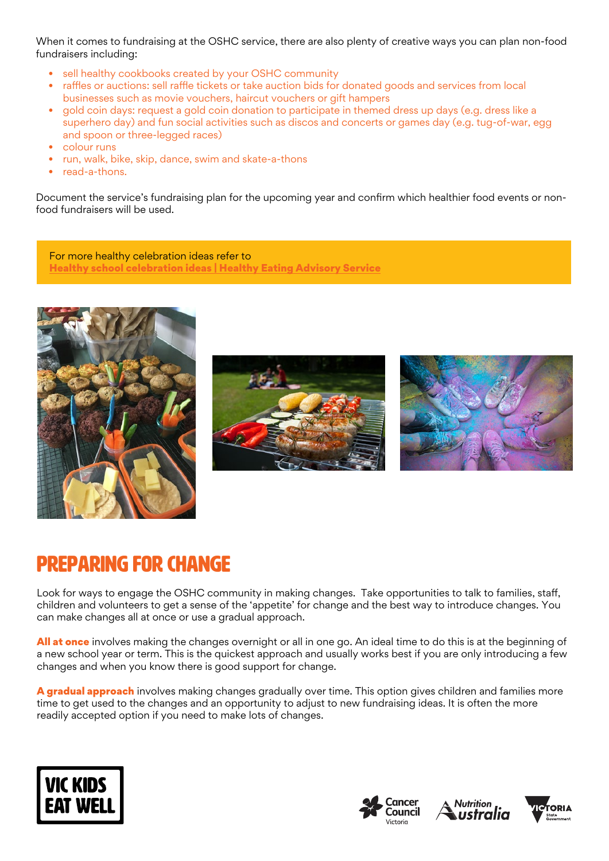When it comes to fundraising at the OSHC service, there are also plenty of creative ways you can plan non-food fundraisers including:

- sell healthy cookbooks created by your OSHC community
- raffles or auctions: sell raffle tickets or take auction bids for donated goods and services from local businesses such as movie vouchers, haircut vouchers or gift hampers
- gold coin days: request a gold coin donation to participate in themed dress up days (e.g. dress like a superhero day) and fun social activities such as discos and concerts or games day (e.g. tug-of-war, egg and spoon or three-legged races)
- colour runs
- run, walk, bike, skip, dance, swim and skate-a-thons
- read-a-thons.

Document the service's fundraising plan for the upcoming year and confirm which healthier food events or nonfood fundraisers will be used.

For more healthy celebration ideas refer to [Healthy school celebration ideas | Healthy Eating Advisory Service](http://heas.health.vic.gov.au/schools/promoting-healthy-foods-and-drinks/healthy-fundraising-ideas)







### Preparing for change

Look for ways to engage the OSHC community in making changes. Take opportunities to talk to families, staff, children and volunteers to get a sense of the 'appetite' for change and the best way to introduce changes. You can make changes all at once or use a gradual approach.

All at once involves making the changes overnight or all in one go. An ideal time to do this is at the beginning of a new school year or term. This is the quickest approach and usually works best if you are only introducing a few changes and when you know there is good support for change.

A gradual approach involves making changes gradually over time. This option gives children and families more time to get used to the changes and an opportunity to adjust to new fundraising ideas. It is often the more readily accepted option if you need to make lots of changes.







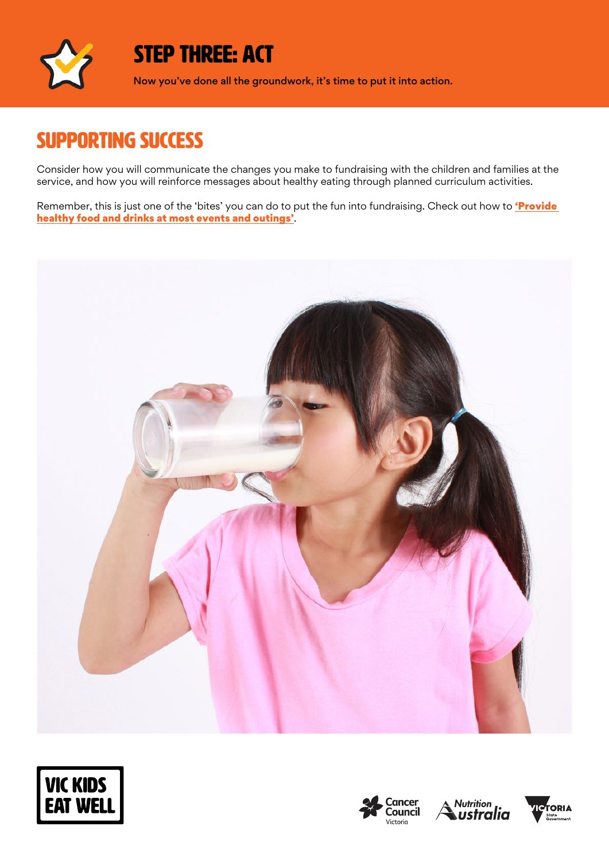

### STEP THREE: ACT

Now you've done all the groundwork, it's time to put it into action.

### SUPPORTING SUCCESS

Consider how you will communicate the changes you make to fundraising with the children and families at the service, and how you will reinforce messages about healthy eating through planned curriculum activities.

Remember, this is just one of the 'bites' you can do to put the fun into fundraising. Check out how to **'Provide** [healthy food and drinks at most events and outings'](https://www.vickidseatwell.health.vic.gov.au/resources).